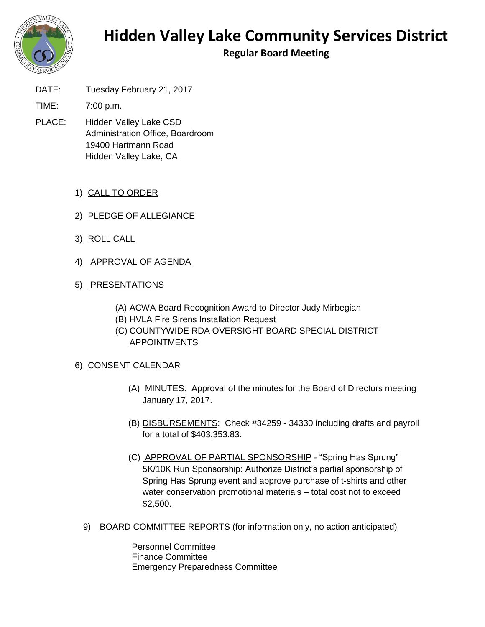

## **Hidden Valley Lake Community Services District**

**Regular Board Meeting**

DATE: Tuesday February 21, 2017

TIME: 7:00 p.m.

- PLACE: Hidden Valley Lake CSD Administration Office, Boardroom 19400 Hartmann Road Hidden Valley Lake, CA
	- 1) CALL TO ORDER
	- 2) PLEDGE OF ALLEGIANCE
	- 3) ROLL CALL
	- 4) APPROVAL OF AGENDA
	- 5) PRESENTATIONS
		- (A) ACWA Board Recognition Award to Director Judy Mirbegian
		- (B) HVLA Fire Sirens Installation Request
		- (C) COUNTYWIDE RDA OVERSIGHT BOARD SPECIAL DISTRICT APPOINTMENTS
	- 6) CONSENT CALENDAR
		- (A) MINUTES: Approval of the minutes for the Board of Directors meeting January 17, 2017.
		- (B) DISBURSEMENTS: Check #34259 34330 including drafts and payroll for a total of \$403,353.83.
		- (C) APPROVAL OF PARTIAL SPONSORSHIP "Spring Has Sprung" 5K/10K Run Sponsorship: Authorize District's partial sponsorship of Spring Has Sprung event and approve purchase of t-shirts and other water conservation promotional materials – total cost not to exceed \$2,500.
		- 9) BOARD COMMITTEE REPORTS (for information only, no action anticipated)

Personnel Committee Finance Committee Emergency Preparedness Committee